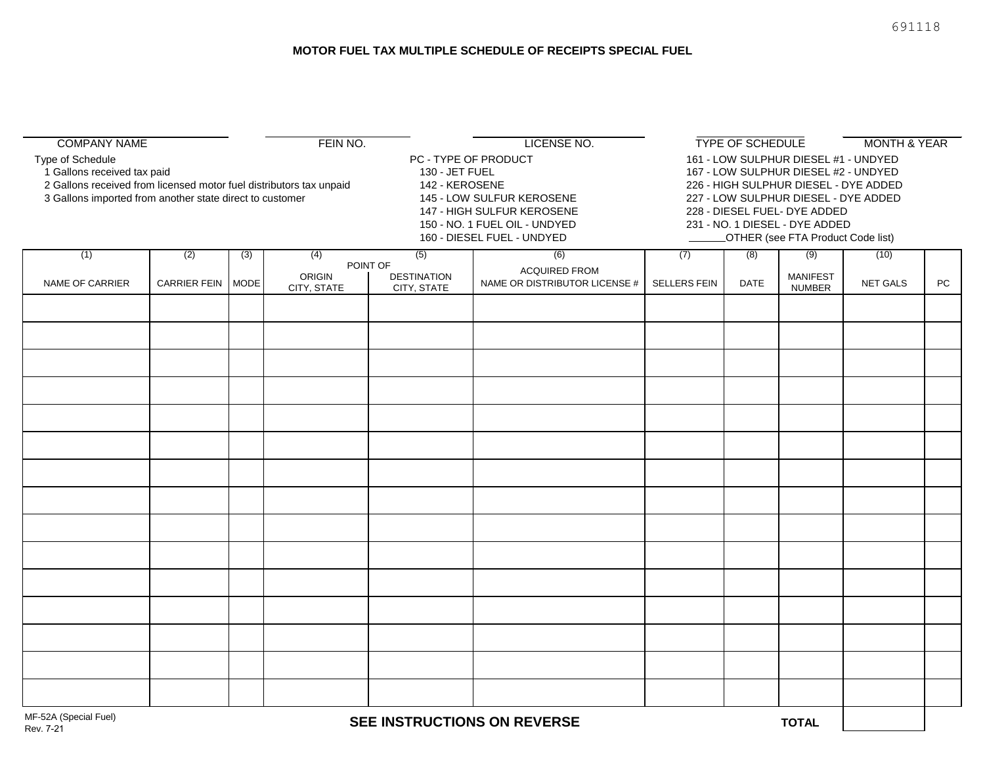| <b>COMPANY NAME</b>                                                                                                                                                                |                     |     | FEIN NO.                                                                                                                                                                           |                                   | LICENSE NO.                                                                                                                                                                                                                                                                  |                     | TYPE OF SCHEDULE |                                  |          | <b>MONTH &amp; YEAR</b> |  |
|------------------------------------------------------------------------------------------------------------------------------------------------------------------------------------|---------------------|-----|------------------------------------------------------------------------------------------------------------------------------------------------------------------------------------|-----------------------------------|------------------------------------------------------------------------------------------------------------------------------------------------------------------------------------------------------------------------------------------------------------------------------|---------------------|------------------|----------------------------------|----------|-------------------------|--|
| Type of Schedule<br>1 Gallons received tax paid<br>2 Gallons received from licensed motor fuel distributors tax unpaid<br>3 Gallons imported from another state direct to customer |                     |     | PC - TYPE OF PRODUCT<br>130 - JET FUEL<br>142 - KEROSENE<br>145 - LOW SULFUR KEROSENE<br>147 - HIGH SULFUR KEROSENE<br>150 - NO. 1 FUEL OIL - UNDYED<br>160 - DIESEL FUEL - UNDYED |                                   | 161 - LOW SULPHUR DIESEL #1 - UNDYED<br>167 - LOW SULPHUR DIESEL #2 - UNDYED<br>226 - HIGH SULPHUR DIESEL - DYE ADDED<br>227 - LOW SULPHUR DIESEL - DYE ADDED<br>228 - DIESEL FUEL- DYE ADDED<br>231 - NO. 1 DIESEL - DYE ADDED<br><b>_OTHER (see FTA Product Code list)</b> |                     |                  |                                  |          |                         |  |
| (1)                                                                                                                                                                                | (2)                 | (3) | (4)<br>POINT OF                                                                                                                                                                    | (5)                               | (6)                                                                                                                                                                                                                                                                          | (7)                 | (8)              | (9)                              | (10)     |                         |  |
| NAME OF CARRIER                                                                                                                                                                    | CARRIER FEIN   MODE |     | ORIGIN<br>CITY, STATE                                                                                                                                                              | <b>DESTINATION</b><br>CITY, STATE | <b>ACQUIRED FROM</b><br>NAME OR DISTRIBUTOR LICENSE #                                                                                                                                                                                                                        | <b>SELLERS FEIN</b> | <b>DATE</b>      | <b>MANIFEST</b><br><b>NUMBER</b> | NET GALS | PC                      |  |
|                                                                                                                                                                                    |                     |     |                                                                                                                                                                                    |                                   |                                                                                                                                                                                                                                                                              |                     |                  |                                  |          |                         |  |
|                                                                                                                                                                                    |                     |     |                                                                                                                                                                                    |                                   |                                                                                                                                                                                                                                                                              |                     |                  |                                  |          |                         |  |
|                                                                                                                                                                                    |                     |     |                                                                                                                                                                                    |                                   |                                                                                                                                                                                                                                                                              |                     |                  |                                  |          |                         |  |
|                                                                                                                                                                                    |                     |     |                                                                                                                                                                                    |                                   |                                                                                                                                                                                                                                                                              |                     |                  |                                  |          |                         |  |
|                                                                                                                                                                                    |                     |     |                                                                                                                                                                                    |                                   |                                                                                                                                                                                                                                                                              |                     |                  |                                  |          |                         |  |
|                                                                                                                                                                                    |                     |     |                                                                                                                                                                                    |                                   |                                                                                                                                                                                                                                                                              |                     |                  |                                  |          |                         |  |
|                                                                                                                                                                                    |                     |     |                                                                                                                                                                                    |                                   |                                                                                                                                                                                                                                                                              |                     |                  |                                  |          |                         |  |
|                                                                                                                                                                                    |                     |     |                                                                                                                                                                                    |                                   |                                                                                                                                                                                                                                                                              |                     |                  |                                  |          |                         |  |
|                                                                                                                                                                                    |                     |     |                                                                                                                                                                                    |                                   |                                                                                                                                                                                                                                                                              |                     |                  |                                  |          |                         |  |
|                                                                                                                                                                                    |                     |     |                                                                                                                                                                                    |                                   |                                                                                                                                                                                                                                                                              |                     |                  |                                  |          |                         |  |
|                                                                                                                                                                                    |                     |     |                                                                                                                                                                                    |                                   |                                                                                                                                                                                                                                                                              |                     |                  |                                  |          |                         |  |
|                                                                                                                                                                                    |                     |     |                                                                                                                                                                                    |                                   |                                                                                                                                                                                                                                                                              |                     |                  |                                  |          |                         |  |
|                                                                                                                                                                                    |                     |     |                                                                                                                                                                                    |                                   |                                                                                                                                                                                                                                                                              |                     |                  |                                  |          |                         |  |
|                                                                                                                                                                                    |                     |     |                                                                                                                                                                                    |                                   |                                                                                                                                                                                                                                                                              |                     |                  |                                  |          |                         |  |
|                                                                                                                                                                                    |                     |     |                                                                                                                                                                                    |                                   |                                                                                                                                                                                                                                                                              |                     |                  |                                  |          |                         |  |